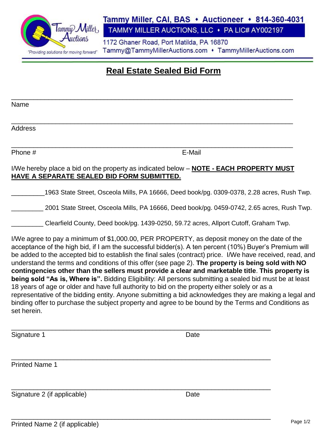

### Tammy Miller, CAI, BAS • Auctioneer • 814-360-4031 TAMMY MILLER AUCTIONS, LLC · PA LIC# AY002197

1172 Ghaner Road, Port Matilda, PA 16870

Tammy@TammyMillerAuctions.com • TammyMillerAuctions.com

# **Real Estate Sealed Bid Form**

\_\_\_\_\_\_\_\_\_\_\_\_\_\_\_\_\_\_\_\_\_\_\_\_\_\_\_\_\_\_\_\_\_\_\_\_\_\_\_\_\_\_\_\_\_\_\_\_\_\_\_\_\_\_\_\_\_\_\_\_\_\_\_\_\_\_\_\_\_\_\_\_\_\_\_\_

Name \_\_\_\_\_\_\_\_\_\_\_\_\_\_\_\_\_\_\_\_\_\_\_\_\_\_\_\_\_\_\_\_\_\_\_\_\_\_\_\_\_\_\_\_\_\_\_\_\_\_\_\_\_\_\_\_\_\_\_\_\_\_\_\_\_\_\_\_\_\_\_\_\_\_\_\_ Address \_\_\_\_\_\_\_\_\_\_\_\_\_\_\_\_\_\_\_\_\_\_\_\_\_\_\_\_\_\_\_\_\_\_\_\_\_\_\_\_\_\_\_\_\_\_\_\_\_\_\_\_\_\_\_\_\_\_\_\_\_\_\_\_\_\_\_\_\_\_\_\_\_\_\_\_ Phone # E-Mail I/We hereby place a bid on the property as indicated below – **NOTE - EACH PROPERTY MUST HAVE A SEPARATE SEALED BID FORM SUBMITTED.**  \_\_\_\_\_\_\_\_\_1963 State Street, Osceola Mills, PA 16666, Deed book/pg. 0309-0378, 2.28 acres, Rush Twp. \_\_\_\_\_\_\_\_\_ 2001 State Street, Osceola Mills, PA 16666, Deed book/pg. 0459-0742, 2.65 acres, Rush Twp. \_\_\_\_\_\_\_\_\_ Clearfield County, Deed book/pg. 1439-0250, 59.72 acres, Allport Cutoff, Graham Twp. I/We agree to pay a minimum of \$1,000.00, PER PROPERTY, as deposit money on the date of the acceptance of the high bid, if I am the successful bidder(s). A ten percent (10%) Buyer's Premium will be added to the accepted bid to establish the final sales (contract) price. I/We have received, read, and understand the terms and conditions of this offer (see page 2). **The property is being sold with NO** 

**contingencies other than the sellers must provide a clear and marketable title**. **This property is being sold "As is, Where is".** Bidding Eligibility: All persons submitting a sealed bid must be at least 18 years of age or older and have full authority to bid on the property either solely or as a representative of the bidding entity. Anyone submitting a bid acknowledges they are making a legal and binding offer to purchase the subject property and agree to be bound by the Terms and Conditions as set herein.

| Signature 1                 | Date |  |
|-----------------------------|------|--|
| <b>Printed Name 1</b>       |      |  |
| Signature 2 (if applicable) | Date |  |

\_\_\_\_\_\_\_\_\_\_\_\_\_\_\_\_\_\_\_\_\_\_\_\_\_\_\_\_\_\_\_\_\_\_\_\_\_\_\_\_\_\_\_\_\_\_\_\_\_\_\_\_\_\_\_\_\_\_\_\_\_\_\_\_\_\_\_\_\_\_